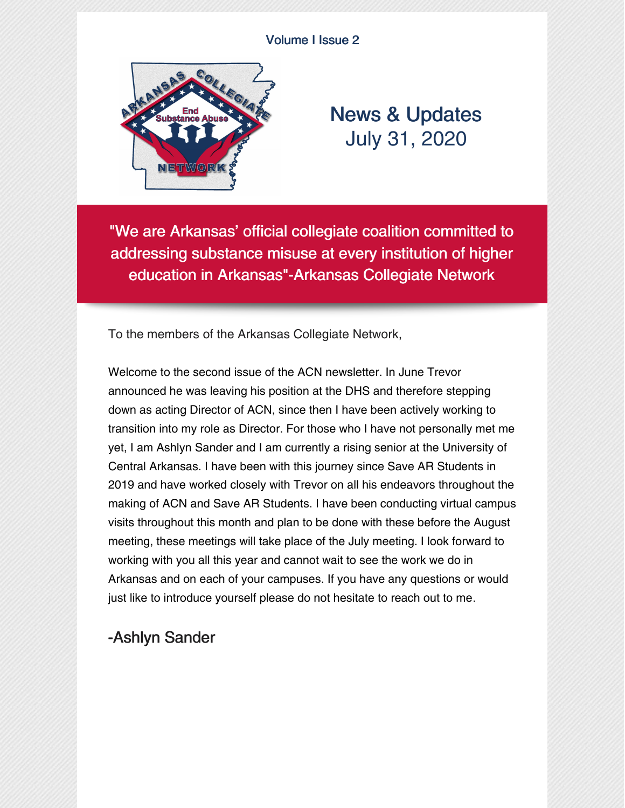#### Volume I Issue 2



# News & Updates July 31, 2020

"We are Arkansas' official collegiate coalition committed to addressing substance misuse at every institution of higher education in Arkansas"-Arkansas Collegiate Network

To the members of the Arkansas Collegiate Network,

Welcome to the second issue of the ACN newsletter. In June Trevor announced he was leaving his position at the DHS and therefore stepping down as acting Director of ACN, since then I have been actively working to transition into my role as Director. For those who I have not personally met me yet, I am Ashlyn Sander and I am currently a rising senior at the University of Central Arkansas. I have been with this journey since Save AR Students in 2019 and have worked closely with Trevor on all his endeavors throughout the making of ACN and Save AR Students. I have been conducting virtual campus visits throughout this month and plan to be done with these before the August meeting, these meetings will take place of the July meeting. I look forward to working with you all this year and cannot wait to see the work we do in Arkansas and on each of your campuses. If you have any questions or would just like to introduce yourself please do not hesitate to reach out to me.

### -Ashlyn Sander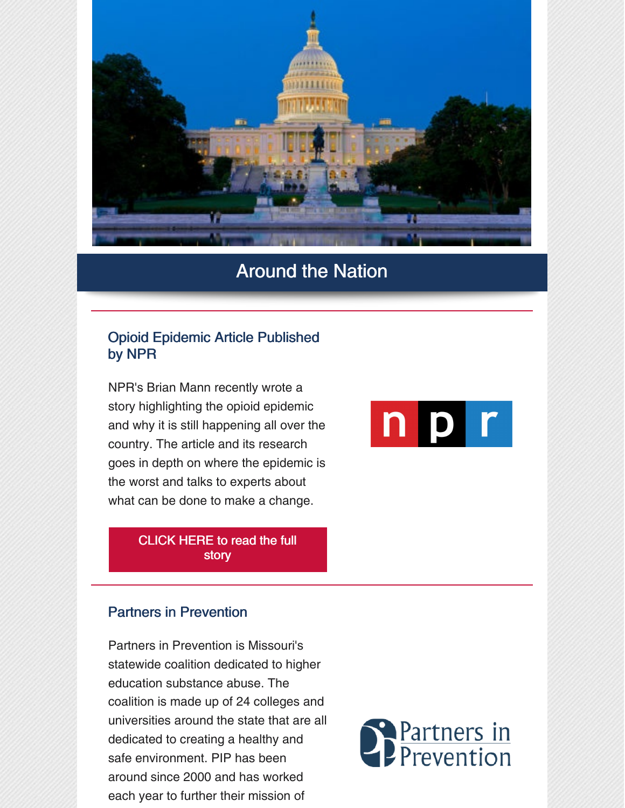

### Around the Nation

#### Opioid Epidemic Article Published by NPR

NPR's Brian Mann recently wrote a story highlighting the opioid epidemic and why it is still happening all over the country. The article and its research goes in depth on where the epidemic is the worst and talks to experts about what can be done to make a change.

> [CLICK](https://www.npr.org/2020/07/17/887590699/doctors-and-dentists-still-flooding-u-s-with-opioid-prescriptions) HERE to read the full story

#### Partners in Prevention

Partners in Prevention is Missouri's statewide coalition dedicated to higher education substance abuse. The coalition is made up of 24 colleges and universities around the state that are all dedicated to creating a healthy and safe environment. PIP has been around since 2000 and has worked each year to further their mission of



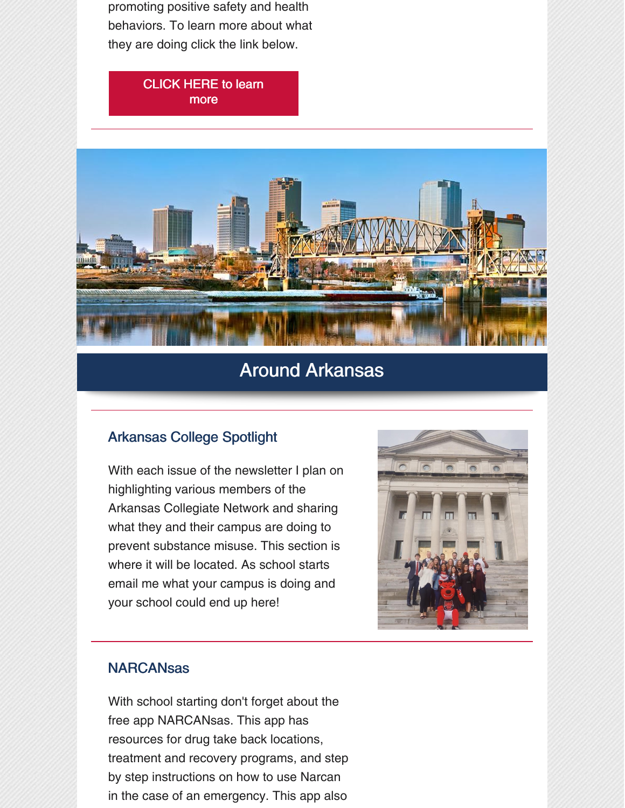promoting positive safety and health behaviors. To learn more about what they are doing click the link below.

#### [CLICK](https://pip.missouri.edu) HERE to learn more



# Around Arkansas

#### Arkansas College Spotlight

With each issue of the newsletter I plan on highlighting various members of the Arkansas Collegiate Network and sharing what they and their campus are doing to prevent substance misuse. This section is where it will be located. As school starts email me what your campus is doing and your school could end up here!



#### **NARCANsas**

With school starting don't forget about the free app NARCANsas. This app has resources for drug take back locations, treatment and recovery programs, and step by step instructions on how to use Narcan in the case of an emergency. This app also